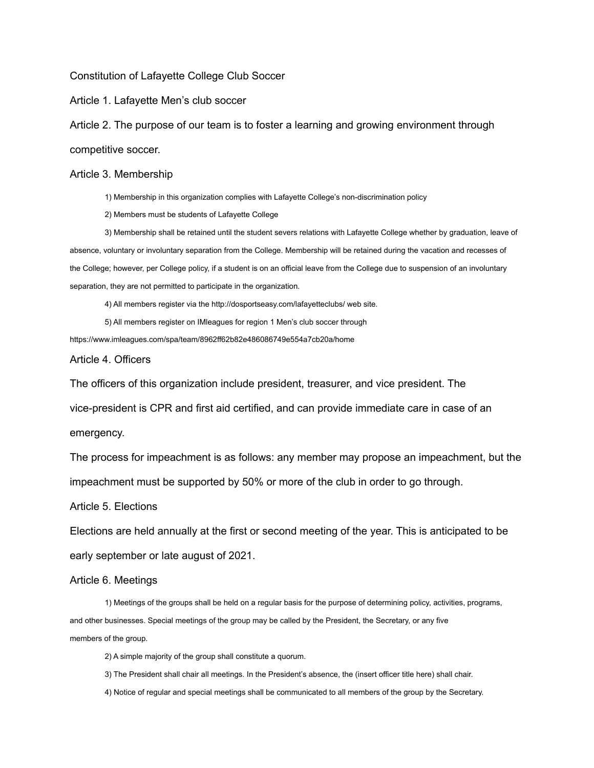Constitution of Lafayette College Club Soccer

Article 1. Lafayette Men's club soccer

Article 2. The purpose of our team is to foster a learning and growing environment through competitive soccer.

## Article 3. Membership

1) Membership in this organization complies with Lafayette College's non-discrimination policy

2) Members must be students of Lafayette College

3) Membership shall be retained until the student severs relations with Lafayette College whether by graduation, leave of absence, voluntary or involuntary separation from the College. Membership will be retained during the vacation and recesses of the College; however, per College policy, if a student is on an official leave from the College due to suspension of an involuntary separation, they are not permitted to participate in the organization.

4) All members register via the http://dosportseasy.com/lafayetteclubs/ web site.

5) All members register on IMleagues for region 1 Men's club soccer through

https://www.imleagues.com/spa/team/8962ff62b82e486086749e554a7cb20a/home

Article 4. Officers

The officers of this organization include president, treasurer, and vice president. The

vice-president is CPR and first aid certified, and can provide immediate care in case of an

emergency.

The process for impeachment is as follows: any member may propose an impeachment, but the impeachment must be supported by 50% or more of the club in order to go through.

Article 5. Elections

Elections are held annually at the first or second meeting of the year. This is anticipated to be early september or late august of 2021.

## Article 6. Meetings

1) Meetings of the groups shall be held on a regular basis for the purpose of determining policy, activities, programs, and other businesses. Special meetings of the group may be called by the President, the Secretary, or any five members of the group.

2) A simple majority of the group shall constitute a quorum.

- 3) The President shall chair all meetings. In the President's absence, the (insert officer title here) shall chair.
- 4) Notice of regular and special meetings shall be communicated to all members of the group by the Secretary.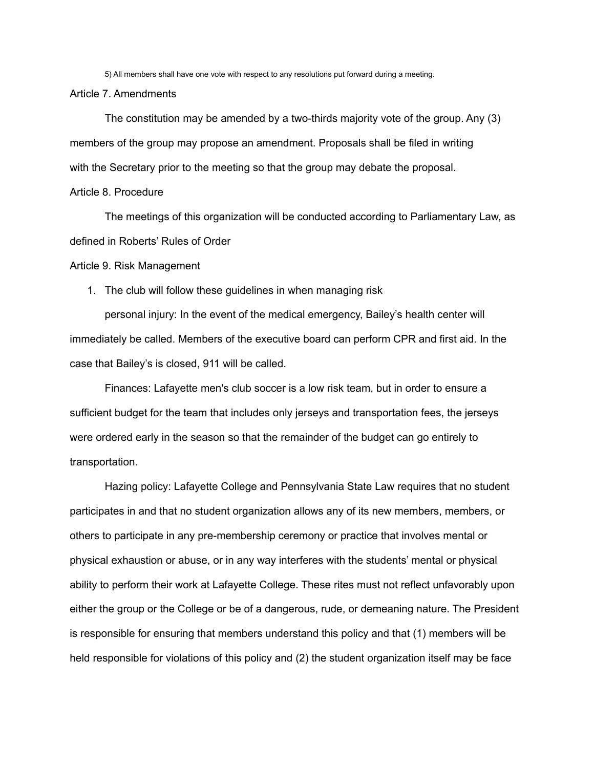5) All members shall have one vote with respect to any resolutions put forward during a meeting.

Article 7. Amendments

The constitution may be amended by a two-thirds majority vote of the group. Any (3) members of the group may propose an amendment. Proposals shall be filed in writing with the Secretary prior to the meeting so that the group may debate the proposal.

Article 8. Procedure

The meetings of this organization will be conducted according to Parliamentary Law, as defined in Roberts' Rules of Order

Article 9. Risk Management

1. The club will follow these guidelines in when managing risk

personal injury: In the event of the medical emergency, Bailey's health center will immediately be called. Members of the executive board can perform CPR and first aid. In the case that Bailey's is closed, 911 will be called.

Finances: Lafayette men's club soccer is a low risk team, but in order to ensure a sufficient budget for the team that includes only jerseys and transportation fees, the jerseys were ordered early in the season so that the remainder of the budget can go entirely to transportation.

Hazing policy: Lafayette College and Pennsylvania State Law requires that no student participates in and that no student organization allows any of its new members, members, or others to participate in any pre-membership ceremony or practice that involves mental or physical exhaustion or abuse, or in any way interferes with the students' mental or physical ability to perform their work at Lafayette College. These rites must not reflect unfavorably upon either the group or the College or be of a dangerous, rude, or demeaning nature. The President is responsible for ensuring that members understand this policy and that (1) members will be held responsible for violations of this policy and (2) the student organization itself may be face